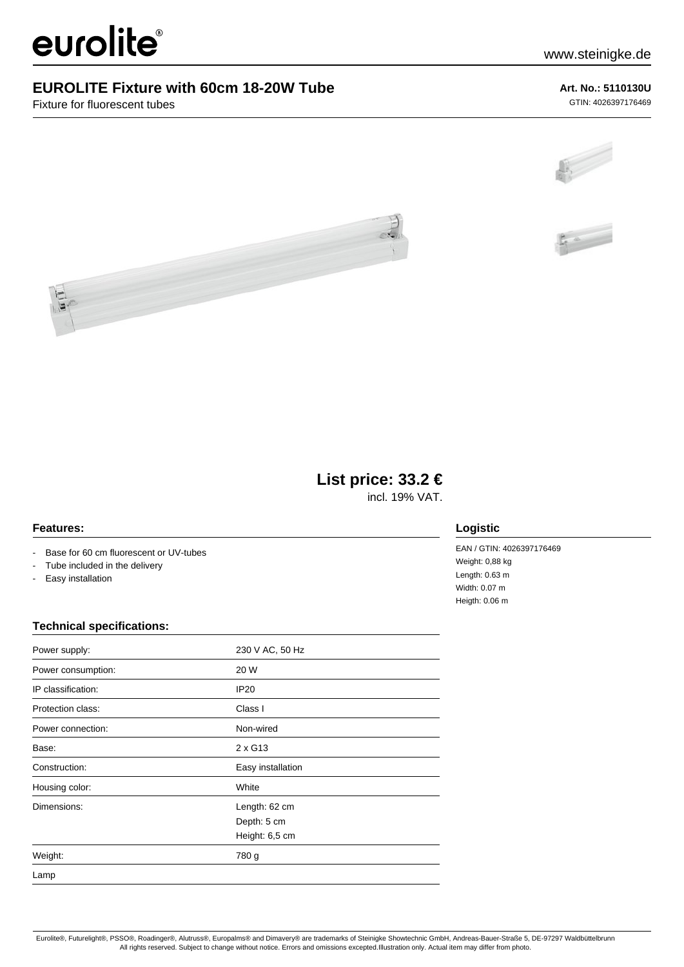# eurolite®

## **EUROLITE Fixture with 60cm 18-20W Tube**

Fixture for fluorescent tubes

## **Art. No.: 5110130U**

GTIN: 4026397176469







# **List price: 33.2 €**

incl. 19% VAT.

## **Features:**

- Base for 60 cm fluorescent or UV-tubes
- Tube included in the delivery
- Easy installation

## **Technical specifications:**

| Power supply:      | 230 V AC, 50 Hz   |
|--------------------|-------------------|
| Power consumption: | 20 W              |
| IP classification: | <b>IP20</b>       |
| Protection class:  | Class I           |
| Power connection:  | Non-wired         |
| Base:              | $2 \times$ G13    |
| Construction:      | Easy installation |
| Housing color:     | White             |
| Dimensions:        | Length: 62 cm     |
|                    | Depth: 5 cm       |
|                    | Height: 6,5 cm    |
| Weight:            | 780 g             |
| Lamp               |                   |

## **Logistic**

EAN / GTIN: 4026397176469 Weight: 0,88 kg Length: 0.63 m Width: 0.07 m Heigth: 0.06 m

Eurolite®, Futurelight®, PSSO®, Roadinger®, Alutruss®, Europalms® and Dimavery® are trademarks of Steinigke Showtechnic GmbH, Andreas-Bauer-Straße 5, DE-97297 Waldbüttelbrunn All rights reserved. Subject to change without notice. Errors and omissions excepted.Illustration only. Actual item may differ from photo.